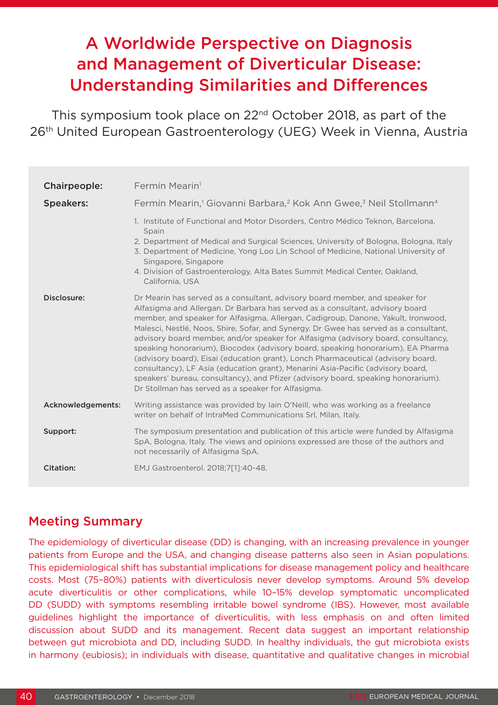# A Worldwide Perspective on Diagnosis and Management of Diverticular Disease: Understanding Similarities and Differences

This symposium took place on 22nd October 2018, as part of the 26th United European Gastroenterology (UEG) Week in Vienna, Austria

| Chairpeople:      | Fermín Mearin <sup>1</sup>                                                                                                                                                                                                                                                                                                                                                                                                                                                                                                                                                                                                                                                                                                                                                                                                            |  |  |  |  |  |
|-------------------|---------------------------------------------------------------------------------------------------------------------------------------------------------------------------------------------------------------------------------------------------------------------------------------------------------------------------------------------------------------------------------------------------------------------------------------------------------------------------------------------------------------------------------------------------------------------------------------------------------------------------------------------------------------------------------------------------------------------------------------------------------------------------------------------------------------------------------------|--|--|--|--|--|
| <b>Speakers:</b>  | Fermín Mearin, <sup>1</sup> Giovanni Barbara, <sup>2</sup> Kok Ann Gwee, <sup>3</sup> Neil Stollmann <sup>4</sup>                                                                                                                                                                                                                                                                                                                                                                                                                                                                                                                                                                                                                                                                                                                     |  |  |  |  |  |
|                   | 1. Institute of Functional and Motor Disorders, Centro Médico Teknon, Barcelona,<br>Spain<br>2. Department of Medical and Surgical Sciences, University of Bologna, Bologna, Italy<br>3. Department of Medicine, Yong Loo Lin School of Medicine, National University of<br>Singapore, Singapore<br>4. Division of Gastroenterology, Alta Bates Summit Medical Center, Oakland,<br>California, USA                                                                                                                                                                                                                                                                                                                                                                                                                                    |  |  |  |  |  |
| Disclosure:       | Dr Mearin has served as a consultant, advisory board member, and speaker for<br>Alfasigma and Allergan. Dr Barbara has served as a consultant, advisory board<br>member, and speaker for Alfasigma, Allergan, Cadigroup, Danone, Yakult, Ironwood,<br>Malesci, Nestlé, Noos, Shire, Sofar, and Synergy. Dr Gwee has served as a consultant,<br>advisory board member, and/or speaker for Alfasigma (advisory board, consultancy,<br>speaking honorarium), Biocodex (advisory board, speaking honorarium), EA Pharma<br>(advisory board), Eisai (education grant), Lonch Pharmaceutical (advisory board,<br>consultancy), LF Asia (education grant), Menarini Asia-Pacific (advisory board,<br>speakers' bureau, consultancy), and Pfizer (advisory board, speaking honorarium).<br>Dr Stollman has served as a speaker for Alfasigma. |  |  |  |  |  |
| Acknowledgements: | Writing assistance was provided by lain O'Neill, who was working as a freelance<br>writer on behalf of IntraMed Communications Srl, Milan, Italy.                                                                                                                                                                                                                                                                                                                                                                                                                                                                                                                                                                                                                                                                                     |  |  |  |  |  |
| Support:          | The symposium presentation and publication of this article were funded by Alfasigma<br>SpA, Bologna, Italy. The views and opinions expressed are those of the authors and<br>not necessarily of Alfasigma SpA.                                                                                                                                                                                                                                                                                                                                                                                                                                                                                                                                                                                                                        |  |  |  |  |  |
| Citation:         | EMJ Gastroenterol. 2018;7[1]:40-48.                                                                                                                                                                                                                                                                                                                                                                                                                                                                                                                                                                                                                                                                                                                                                                                                   |  |  |  |  |  |

#### Meeting Summary

The epidemiology of diverticular disease (DD) is changing, with an increasing prevalence in younger patients from Europe and the USA, and changing disease patterns also seen in Asian populations. This epidemiological shift has substantial implications for disease management policy and healthcare costs. Most (75–80%) patients with diverticulosis never develop symptoms. Around 5% develop acute diverticulitis or other complications, while 10–15% develop symptomatic uncomplicated DD (SUDD) with symptoms resembling irritable bowel syndrome (IBS). However, most available guidelines highlight the importance of diverticulitis, with less emphasis on and often limited discussion about SUDD and its management. Recent data suggest an important relationship between gut microbiota and DD, including SUDD. In healthy individuals, the gut microbiota exists in harmony (eubiosis); in individuals with disease, quantitative and qualitative changes in microbial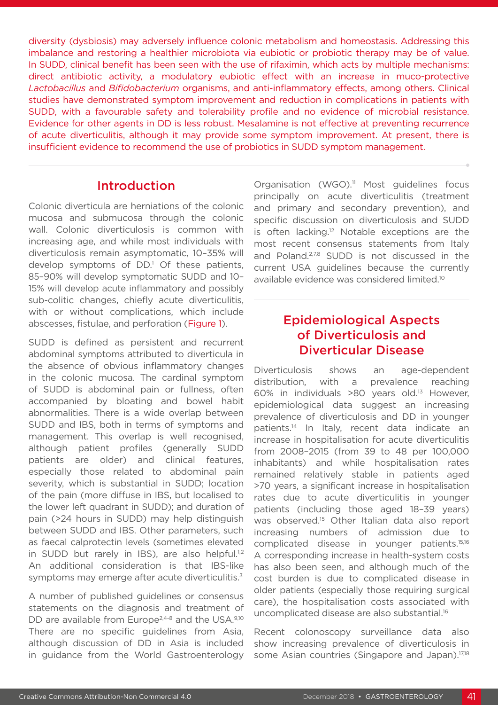diversity (dysbiosis) may adversely influence colonic metabolism and homeostasis. Addressing this imbalance and restoring a healthier microbiota via eubiotic or probiotic therapy may be of value. In SUDD, clinical benefit has been seen with the use of rifaximin, which acts by multiple mechanisms: direct antibiotic activity, a modulatory eubiotic effect with an increase in muco-protective *Lactobacillus* and *Bifidobacterium* organisms, and anti-inflammatory effects, among others. Clinical studies have demonstrated symptom improvement and reduction in complications in patients with SUDD, with a favourable safety and tolerability profile and no evidence of microbial resistance. Evidence for other agents in DD is less robust. Mesalamine is not effective at preventing recurrence of acute diverticulitis, although it may provide some symptom improvement. At present, there is insufficient evidence to recommend the use of probiotics in SUDD symptom management.

#### Introduction

Colonic diverticula are herniations of the colonic mucosa and submucosa through the colonic wall. Colonic diverticulosis is common with increasing age, and while most individuals with diverticulosis remain asymptomatic, 10–35% will develop symptoms of DD.<sup>1</sup> Of these patients, 85–90% will develop symptomatic SUDD and 10– 15% will develop acute inflammatory and possibly sub-colitic changes, chiefly acute diverticulitis, with or without complications, which include abscesses, fistulae, and perforation (Figure 1).

SUDD is defined as persistent and recurrent abdominal symptoms attributed to diverticula in the absence of obvious inflammatory changes in the colonic mucosa. The cardinal symptom of SUDD is abdominal pain or fullness, often accompanied by bloating and bowel habit abnormalities. There is a wide overlap between SUDD and IBS, both in terms of symptoms and management. This overlap is well recognised, although patient profiles (generally SUDD patients are older) and clinical features, especially those related to abdominal pain severity, which is substantial in SUDD; location of the pain (more diffuse in IBS, but localised to the lower left quadrant in SUDD); and duration of pain (>24 hours in SUDD) may help distinguish between SUDD and IBS. Other parameters, such as faecal calprotectin levels (sometimes elevated in SUDD but rarely in IBS), are also helpful.<sup>1,2</sup> An additional consideration is that IBS-like symptoms may emerge after acute diverticulitis.<sup>3</sup>

A number of published guidelines or consensus statements on the diagnosis and treatment of DD are available from Europe<sup>2,4-8</sup> and the USA.<sup>9,10</sup> There are no specific guidelines from Asia, although discussion of DD in Asia is included in guidance from the World Gastroenterology Organisation (WGO).<sup>11</sup> Most guidelines focus principally on acute diverticulitis (treatment and primary and secondary prevention), and specific discussion on diverticulosis and SUDD is often lacking.<sup>12</sup> Notable exceptions are the most recent consensus statements from Italy and Poland.<sup>2,7,8</sup> SUDD is not discussed in the current USA guidelines because the currently available evidence was considered limited.10

# Epidemiological Aspects of Diverticulosis and Diverticular Disease

Diverticulosis shows an age-dependent distribution, with a prevalence reaching 60% in individuals >80 years old.13 However, epidemiological data suggest an increasing prevalence of diverticulosis and DD in younger patients.14 In Italy, recent data indicate an increase in hospitalisation for acute diverticulitis from 2008–2015 (from 39 to 48 per 100,000 inhabitants) and while hospitalisation rates remained relatively stable in patients aged >70 years, a significant increase in hospitalisation rates due to acute diverticulitis in younger patients (including those aged 18–39 years) was observed.<sup>15</sup> Other Italian data also report increasing numbers of admission due to complicated disease in younger patients.15,16 A corresponding increase in health-system costs has also been seen, and although much of the cost burden is due to complicated disease in older patients (especially those requiring surgical care), the hospitalisation costs associated with uncomplicated disease are also substantial.<sup>16</sup>

Recent colonoscopy surveillance data also show increasing prevalence of diverticulosis in some Asian countries (Singapore and Japan).<sup>17,18</sup>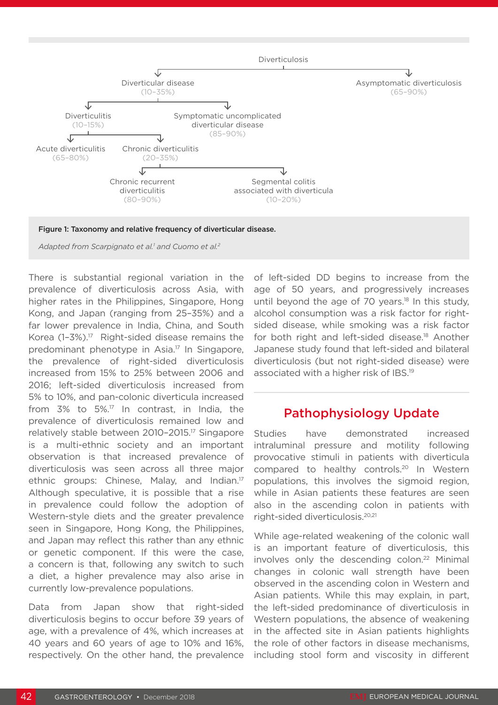



*Adapted from Scarpignato et al.1 and Cuomo et al.2*

There is substantial regional variation in the prevalence of diverticulosis across Asia, with higher rates in the Philippines, Singapore, Hong Kong, and Japan (ranging from 25–35%) and a far lower prevalence in India, China, and South Korea  $(1-3\%)$ .<sup>17</sup> Right-sided disease remains the predominant phenotype in Asia.17 In Singapore, the prevalence of right-sided diverticulosis increased from 15% to 25% between 2006 and 2016; left-sided diverticulosis increased from 5% to 10%, and pan-colonic diverticula increased from 3% to 5%.17 In contrast, in India, the prevalence of diverticulosis remained low and relatively stable between 2010–2015.17 Singapore is a multi-ethnic society and an important observation is that increased prevalence of diverticulosis was seen across all three major ethnic groups: Chinese, Malay, and Indian.17 Although speculative, it is possible that a rise in prevalence could follow the adoption of Western-style diets and the greater prevalence seen in Singapore, Hong Kong, the Philippines, and Japan may reflect this rather than any ethnic or genetic component. If this were the case, a concern is that, following any switch to such a diet, a higher prevalence may also arise in currently low-prevalence populations.

Data from Japan show that right-sided diverticulosis begins to occur before 39 years of age, with a prevalence of 4%, which increases at 40 years and 60 years of age to 10% and 16%, respectively. On the other hand, the prevalence

of left-sided DD begins to increase from the age of 50 years, and progressively increases until beyond the age of  $70$  years.<sup>18</sup> In this study, alcohol consumption was a risk factor for rightsided disease, while smoking was a risk factor for both right and left-sided disease.<sup>18</sup> Another Japanese study found that left-sided and bilateral diverticulosis (but not right-sided disease) were associated with a higher risk of IBS.19

# Pathophysiology Update

Studies have demonstrated increased intraluminal pressure and motility following provocative stimuli in patients with diverticula compared to healthy controls.20 In Western populations, this involves the sigmoid region, while in Asian patients these features are seen also in the ascending colon in patients with right-sided diverticulosis.20,21

While age-related weakening of the colonic wall is an important feature of diverticulosis, this involves only the descending colon.<sup>22</sup> Minimal changes in colonic wall strength have been observed in the ascending colon in Western and Asian patients. While this may explain, in part, the left-sided predominance of diverticulosis in Western populations, the absence of weakening in the affected site in Asian patients highlights the role of other factors in disease mechanisms, including stool form and viscosity in different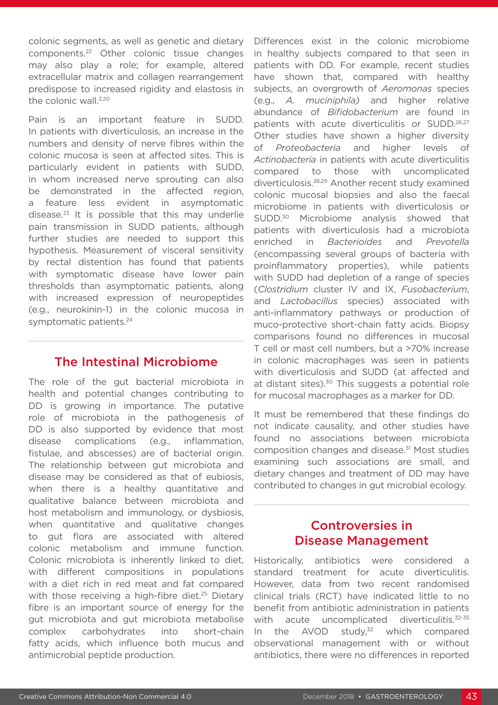colonic segments, as well as genetic and dietary components.22 Other colonic tissue changes may also play a role; for example, altered extracellular matrix and collagen rearrangement predispose to increased rigidity and elastosis in the colonic wall.<sup>2,20</sup>

Pain is an important feature in SUDD. In patients with diverticulosis, an increase in the numbers and density of nerve fibres within the colonic mucosa is seen at affected sites. This is particularly evident in patients with SUDD, in whom increased nerve sprouting can also be demonstrated in the affected region, a feature less evident in asymptomatic disease.23 It is possible that this may underlie pain transmission in SUDD patients, although further studies are needed to support this hypothesis. Measurement of visceral sensitivity by rectal distention has found that patients with symptomatic disease have lower pain thresholds than asymptomatic patients, along with increased expression of neuropeptides (e.g., neurokinin-1) in the colonic mucosa in symptomatic patients.<sup>24</sup>

#### The Intestinal Microbiome

The role of the gut bacterial microbiota in health and potential changes contributing to DD is growing in importance. The putative role of microbiota in the pathogenesis of DD is also supported by evidence that most disease complications (e.g., inflammation, fistulae, and abscesses) are of bacterial origin. The relationship between gut microbiota and disease may be considered as that of eubiosis, when there is a healthy quantitative and qualitative balance between microbiota and host metabolism and immunology, or dysbiosis, when quantitative and qualitative changes to gut flora are associated with altered colonic metabolism and immune function. Colonic microbiota is inherently linked to diet, with different compositions in populations with a diet rich in red meat and fat compared with those receiving a high-fibre diet.<sup>25</sup> Dietary fibre is an important source of energy for the gut microbiota and gut microbiota metabolise complex carbohydrates into short-chain fatty acids, which influence both mucus and antimicrobial peptide production.

Differences exist in the colonic microbiome in healthy subjects compared to that seen in patients with DD. For example, recent studies have shown that, compared with healthy subjects, an overgrowth of *Aeromonas* species (e.g., *A. muciniphila)* and higher relative abundance of *Bifidobacterium* are found in patients with acute diverticulitis or SUDD.26,27 Other studies have shown a higher diversity of *Proteobacteria* and higher levels of *Actinobacteria* in patients with acute diverticulitis compared to those with uncomplicated diverticulosis.28,29 Another recent study examined colonic mucosal biopsies and also the faecal microbiome in patients with diverticulosis or SUDD.<sup>30</sup> Microbiome analysis showed that patients with diverticulosis had a microbiota enriched in *Bacterioides* and *Prevotella* (encompassing several groups of bacteria with proinflammatory properties), while patients with SUDD had depletion of a range of species (*Clostridium* cluster IV and IX, *Fusobacterium*, and *Lactobacillus* species) associated with anti-inflammatory pathways or production of muco-protective short-chain fatty acids. Biopsy comparisons found no differences in mucosal T cell or mast cell numbers, but a >70% increase in colonic macrophages was seen in patients with diverticulosis and SUDD (at affected and at distant sites).<sup>30</sup> This suggests a potential role for mucosal macrophages as a marker for DD.

It must be remembered that these findings do not indicate causality, and other studies have found no associations between microbiota composition changes and disease.31 Most studies examining such associations are small, and dietary changes and treatment of DD may have contributed to changes in gut microbial ecology.

# Controversies in Disease Management

Historically, antibiotics were considered a standard treatment for acute diverticulitis. However, data from two recent randomised clinical trials (RCT) have indicated little to no benefit from antibiotic administration in patients with acute uncomplicated diverticulitis.<sup>32-35</sup> In the  $AVOD$  study, $32$  which compared observational management with or without antibiotics, there were no differences in reported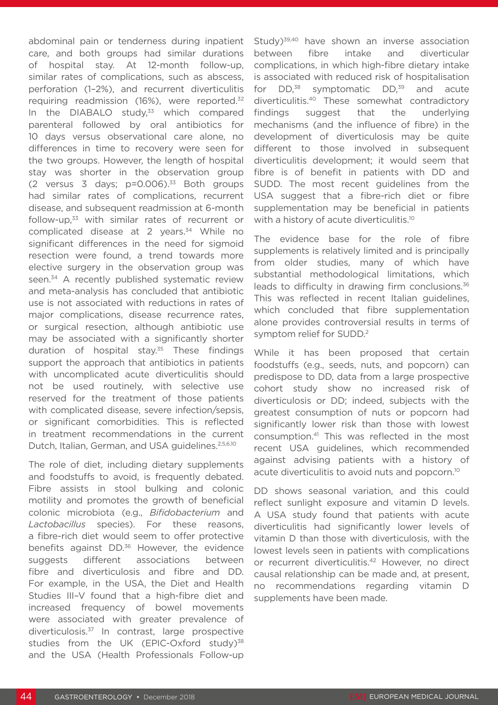abdominal pain or tenderness during inpatient care, and both groups had similar durations of hospital stay. At 12-month follow-up, similar rates of complications, such as abscess, perforation (1–2%), and recurrent diverticulitis requiring readmission (16%), were reported.32 In the DIABALO study, $33$  which compared parenteral followed by oral antibiotics for 10 days versus observational care alone, no differences in time to recovery were seen for the two groups. However, the length of hospital stay was shorter in the observation group (2 versus 3 days;  $p=0.006$ ).<sup>33</sup> Both groups had similar rates of complications, recurrent disease, and subsequent readmission at 6-month follow-up,33 with similar rates of recurrent or complicated disease at 2 years.<sup>34</sup> While no significant differences in the need for sigmoid resection were found, a trend towards more elective surgery in the observation group was seen.<sup>34</sup> A recently published systematic review and meta-analysis has concluded that antibiotic use is not associated with reductions in rates of major complications, disease recurrence rates, or surgical resection, although antibiotic use may be associated with a significantly shorter duration of hospital stay.<sup>35</sup> These findings support the approach that antibiotics in patients with uncomplicated acute diverticulitis should not be used routinely, with selective use reserved for the treatment of those patients with complicated disease, severe infection/sepsis, or significant comorbidities. This is reflected in treatment recommendations in the current Dutch, Italian, German, and USA quidelines.<sup>2,5,6,10</sup>

The role of diet, including dietary supplements and foodstuffs to avoid, is frequently debated. Fibre assists in stool bulking and colonic motility and promotes the growth of beneficial colonic microbiota (e.g., *Bifidobacterium* and *Lactobacillus* species). For these reasons, a fibre-rich diet would seem to offer protective benefits against DD.<sup>36</sup> However, the evidence suggests different associations between fibre and diverticulosis and fibre and DD. For example, in the USA, the Diet and Health Studies III–V found that a high-fibre diet and increased frequency of bowel movements were associated with greater prevalence of diverticulosis.37 In contrast, large prospective studies from the UK (EPIC-Oxford study)<sup>38</sup> and the USA (Health Professionals Follow-up

Study)<sup>39,40</sup> have shown an inverse association between fibre intake and diverticular complications, in which high-fibre dietary intake is associated with reduced risk of hospitalisation for  $DD^{38}$  symptomatic  $DD^{39}$  and acute diverticulitis.40 These somewhat contradictory findings suggest that the underlying mechanisms (and the influence of fibre) in the development of diverticulosis may be quite different to those involved in subsequent diverticulitis development; it would seem that fibre is of benefit in patients with DD and SUDD. The most recent guidelines from the USA suggest that a fibre-rich diet or fibre supplementation may be beneficial in patients with a history of acute diverticulitis.<sup>10</sup>

The evidence base for the role of fibre supplements is relatively limited and is principally from older studies, many of which have substantial methodological limitations, which leads to difficulty in drawing firm conclusions.<sup>36</sup> This was reflected in recent Italian guidelines, which concluded that fibre supplementation alone provides controversial results in terms of symptom relief for SUDD.2

While it has been proposed that certain foodstuffs (e.g., seeds, nuts, and popcorn) can predispose to DD, data from a large prospective cohort study show no increased risk of diverticulosis or DD; indeed, subjects with the greatest consumption of nuts or popcorn had significantly lower risk than those with lowest consumption.41 This was reflected in the most recent USA guidelines, which recommended against advising patients with a history of acute diverticulitis to avoid nuts and popcorn.<sup>10</sup>

DD shows seasonal variation, and this could reflect sunlight exposure and vitamin D levels. A USA study found that patients with acute diverticulitis had significantly lower levels of vitamin D than those with diverticulosis, with the lowest levels seen in patients with complications or recurrent diverticulitis.42 However, no direct causal relationship can be made and, at present, no recommendations regarding vitamin D supplements have been made.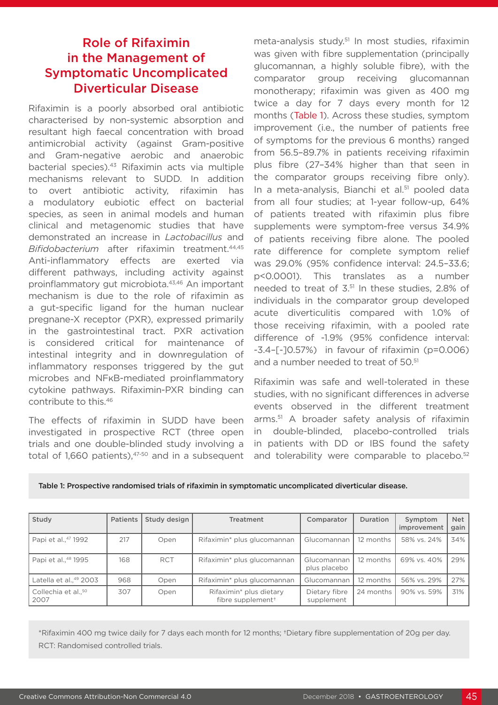# Role of Rifaximin in the Management of Symptomatic Uncomplicated Diverticular Disease

Rifaximin is a poorly absorbed oral antibiotic characterised by non-systemic absorption and resultant high faecal concentration with broad antimicrobial activity (against Gram-positive and Gram-negative aerobic and anaerobic bacterial species).43 Rifaximin acts via multiple mechanisms relevant to SUDD. In addition to overt antibiotic activity, rifaximin has a modulatory eubiotic effect on bacterial species, as seen in animal models and human clinical and metagenomic studies that have demonstrated an increase in *Lactobacillus* and *Bifidobacterium* after rifaximin treatment.44,45 Anti-inflammatory effects are exerted via different pathways, including activity against proinflammatory gut microbiota.<sup>43,46</sup> An important mechanism is due to the role of rifaximin as a gut-specific ligand for the human nuclear pregnane-X receptor (PXR), expressed primarily in the gastrointestinal tract. PXR activation is considered critical for maintenance of intestinal integrity and in downregulation of inflammatory responses triggered by the gut microbes and NFκB-mediated proinflammatory cytokine pathways. Rifaximin-PXR binding can contribute to this.46

The effects of rifaximin in SUDD have been investigated in prospective RCT (three open trials and one double-blinded study involving a total of 1,660 patients), $47-50$  and in a subsequent

meta-analysis study.<sup>51</sup> In most studies, rifaximin was given with fibre supplementation (principally glucomannan, a highly soluble fibre), with the comparator group receiving glucomannan monotherapy; rifaximin was given as 400 mg twice a day for 7 days every month for 12 months (Table 1). Across these studies, symptom improvement (i.e., the number of patients free of symptoms for the previous 6 months) ranged from 56.5–89.7% in patients receiving rifaximin plus fibre (27–34% higher than that seen in the comparator groups receiving fibre only). In a meta-analysis, Bianchi et al.<sup>51</sup> pooled data from all four studies; at 1-year follow-up, 64% of patients treated with rifaximin plus fibre supplements were symptom-free versus 34.9% of patients receiving fibre alone. The pooled rate difference for complete symptom relief was 29.0% (95% confidence interval: 24.5–33.6; p<0.0001). This translates as a number needed to treat of 3.51 In these studies, 2.8% of individuals in the comparator group developed acute diverticulitis compared with 1.0% of those receiving rifaximin, with a pooled rate difference of -1.9% (95% confidence interval: -3.4–[-]0.57%) in favour of rifaximin (p=0.006) and a number needed to treat of 50.<sup>51</sup>

Rifaximin was safe and well-tolerated in these studies, with no significant differences in adverse events observed in the different treatment arms.51 A broader safety analysis of rifaximin in double-blinded, placebo-controlled trials in patients with DD or IBS found the safety and tolerability were comparable to placebo.<sup>52</sup>

Table 1: Prospective randomised trials of rifaximin in symptomatic uncomplicated diverticular disease.

| Study                                   | <b>Patients</b> | Study design | <b>Treatment</b>                                         | Comparator                  | <b>Duration</b> | Symptom<br>improvement | Net  <br>gain |
|-----------------------------------------|-----------------|--------------|----------------------------------------------------------|-----------------------------|-----------------|------------------------|---------------|
| Papi et al., <sup>47</sup> 1992         | 217             | Open         | Rifaximin* plus glucomannan                              | Glucomannan                 | 12 months       | 58% vs. 24%            | 34%           |
| Papi et al., <sup>48</sup> 1995         | 168             | <b>RCT</b>   | Rifaximin* plus glucomannan                              | Glucomannan<br>plus placebo | 12 months       | 69% vs. 40%            | 29%           |
| Latella et al., 49 2003                 | 968             | Open         | Rifaximin* plus glucomannan                              | Glucomannan                 | 12 months       | 56% vs. 29%            | 27%           |
| Collechia et al., <sup>50</sup><br>2007 | 307             | Open         | Rifaximin* plus dietary<br>fibre supplement <sup>+</sup> | Dietary fibre<br>supplement | 24 months       | 90% vs. 59%            | $31\%$        |

\*Rifaximin 400 mg twice daily for 7 days each month for 12 months; †Dietary fibre supplementation of 20g per day. RCT: Randomised controlled trials.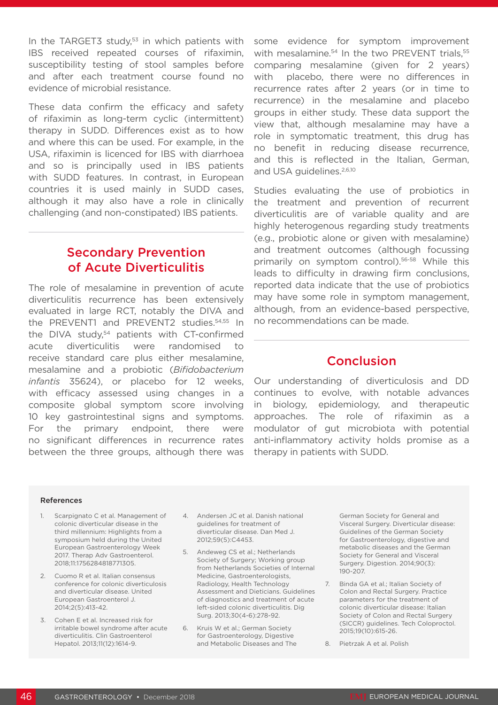In the TARGET3 study, $53$  in which patients with IBS received repeated courses of rifaximin, susceptibility testing of stool samples before and after each treatment course found no evidence of microbial resistance.

These data confirm the efficacy and safety of rifaximin as long-term cyclic (intermittent) therapy in SUDD. Differences exist as to how and where this can be used. For example, in the USA, rifaximin is licenced for IBS with diarrhoea and so is principally used in IBS patients with SUDD features. In contrast, in European countries it is used mainly in SUDD cases, although it may also have a role in clinically challenging (and non-constipated) IBS patients.

## Secondary Prevention of Acute Diverticulitis

The role of mesalamine in prevention of acute diverticulitis recurrence has been extensively evaluated in large RCT, notably the DIVA and the PREVENT1 and PREVENT2 studies.54,55 In the DIVA study,<sup>54</sup> patients with CT-confirmed acute diverticulitis were randomised to receive standard care plus either mesalamine, mesalamine and a probiotic (*Bifidobacterium infantis* 35624), or placebo for 12 weeks, with efficacy assessed using changes in a composite global symptom score involving 10 key gastrointestinal signs and symptoms. For the primary endpoint, there were no significant differences in recurrence rates between the three groups, although there was some evidence for symptom improvement with mesalamine.<sup>54</sup> In the two PREVENT trials,<sup>55</sup> comparing mesalamine (given for 2 years) with placebo, there were no differences in recurrence rates after 2 years (or in time to recurrence) in the mesalamine and placebo groups in either study. These data support the view that, although mesalamine may have a role in symptomatic treatment, this drug has no benefit in reducing disease recurrence, and this is reflected in the Italian, German, and USA quidelines.<sup>2,6,10</sup>

Studies evaluating the use of probiotics in the treatment and prevention of recurrent diverticulitis are of variable quality and are highly heterogenous regarding study treatments (e.g., probiotic alone or given with mesalamine) and treatment outcomes (although focussing primarily on symptom control).<sup>56-58</sup> While this leads to difficulty in drawing firm conclusions, reported data indicate that the use of probiotics may have some role in symptom management, although, from an evidence-based perspective, no recommendations can be made.

### **Conclusion**

Our understanding of diverticulosis and DD continues to evolve, with notable advances in biology, epidemiology, and therapeutic approaches. The role of rifaximin as a modulator of gut microbiota with potential anti-inflammatory activity holds promise as a therapy in patients with SUDD.

#### References

- Scarpignato C et al. Management of colonic diverticular disease in the third millennium: Highlights from a symposium held during the United European Gastroenterology Week 2017. Therap Adv Gastroenterol. 2018;11:1756284818771305.
- 2. Cuomo R et al. Italian consensus conference for colonic diverticulosis and diverticular disease. United European Gastroenterol J. 2014;2(5):413-42.
- 3. Cohen E et al. Increased risk for irritable bowel syndrome after acute diverticulitis. Clin Gastroenterol Hepatol. 2013;11(12):1614-9.
- 4. Andersen JC et al. Danish national guidelines for treatment of diverticular disease. Dan Med J. 2012;59(5):C4453.
- 5. Andeweg CS et al.; Netherlands Society of Surgery; Working group from Netherlands Societies of Internal Medicine, Gastroenterologists, Radiology, Health Technology Assessment and Dieticians. Guidelines of diagnostics and treatment of acute left-sided colonic diverticulitis. Dig Surg. 2013;30(4-6):278-92.
- 6. Kruis W et al.; German Society for Gastroenterology, Digestive and Metabolic Diseases and The

German Society for General and Visceral Surgery. Diverticular disease: Guidelines of the German Society for Gastroenterology, digestive and metabolic diseases and the German Society for General and Visceral Surgery. Digestion. 2014;90(3): 190-207.

- 7. Binda GA et al.; Italian Society of Colon and Rectal Surgery. Practice parameters for the treatment of colonic diverticular disease: Italian Society of Colon and Rectal Surgery (SICCR) guidelines. Tech Coloproctol. 2015;19(10):615-26.
- 8. Pietrzak A et al. Polish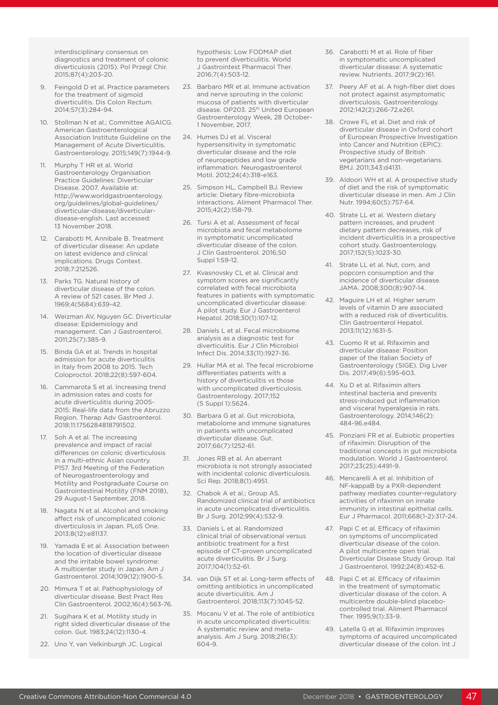interdisciplinary consensus on diagnostics and treatment of colonic diverticulosis (2015). Pol Przegl Chir. 2015;87(4):203-20.

- 9. Feingold D et al. Practice parameters for the treatment of sigmoid diverticulitis. Dis Colon Rectum. 2014;57(3):284-94.
- 10. Stollman N et al.; Committee AGAICG. American Gastroenterological Association Institute Guideline on the Management of Acute Diverticulitis. Gastroenterology. 2015;149(7):1944-9.
- 11. Murphy T HR et al. World Gastroenterology Organisation Practice Guidelines: Diverticular Disease. 2007. Available at: http://www.worldgastroenterology. org/guidelines/global-guidelines/ diverticular-disease/diverticulardisease-english. Last accessed: 13 November 2018.
- 12. Carabotti M, Annibale B. Treatment of diverticular disease: An update on latest evidence and clinical implications. Drugs Context. 2018;7:212526.
- 13. Parks TG. Natural history of diverticular disease of the colon. A review of 521 cases. Br Med J. 1969;4(5684):639-42.
- 14. Weizman AV, Nguyen GC. Diverticular disease: Epidemiology and management. Can J Gastroenterol. 2011;25(7):385-9.
- 15. Binda GA et al. Trends in hospital admission for acute diverticulitis in Italy from 2008 to 2015. Tech Coloproctol. 2018;22(8):597-604.
- 16. Cammarota S et al. Increasing trend in admission rates and costs for acute diverticulitis during 2005- 2015: Real-life data from the Abruzzo Region. Therap Adv Gastroenterol. 2018;11:1756284818791502.
- 17. Soh A et al. The increasing prevalence and impact of racial differences on colonic diverticulosis in a multi-ethnic Asian country. P157. 3rd Meeting of the Federation of Neurogastroenterology and Motility and Postgraduate Course on Gastrointestinal Motility (FNM 2018), 29 August-1 September, 2018.
- 18. Nagata N et al. Alcohol and smoking affect risk of uncomplicated colonic diverticulosis in Japan. PLoS One. 2013;8(12):e81137.
- 19. Yamada E et al. Association between the location of diverticular disease and the irritable bowel syndrome: A multicenter study in Japan. Am J Gastroenterol. 2014;109(12):1900-5.
- 20. Mimura T et al. Pathophysiology of diverticular disease. Best Pract Res Clin Gastroenterol. 2002;16(4):563-76.
- 21. Sugihara K et al. Motility study in right sided diverticular disease of the colon. Gut. 1983;24(12):1130-4.
- 22. Uno Y, van Velkinburgh JC. Logical

hypothesis: Low FODMAP diet to prevent diverticulitis. World J Gastrointest Pharmacol Ther. 2016;7(4):503-12.

- 23. Barbaro MR et al. Immune activation and nerve sprouting in the colonic mucosa of patients with diverticular disease. OP203. 25<sup>th</sup> United European Gastroenterology Week, 28 October-1 November, 2017.
- 24. Humes DJ et al. Visceral hypersensitivity in symptomatic diverticular disease and the role of neuropeptides and low grade inflammation. Neurogastroenterol Motil. 2012;24(4):318-e163.
- 25. Simpson HL, Campbell BJ. Review article: Dietary fibre-microbiota interactions. Aliment Pharmacol Ther. 2015;42(2):158-79.
- 26. Tursi A et al. Assessment of fecal microbiota and fecal metabolome in symptomatic uncomplicated diverticular disease of the colon. J Clin Gastroenterol. 2016;50 Suppl 1:S9-12.
- 27. Kvasnovsky CL et al. Clinical and symptom scores are significantly correlated with fecal microbiota features in patients with symptomatic uncomplicated diverticular disease: A pilot study. Eur J Gastroenterol Hepatol. 2018;30(1):107-12.
- 28. Daniels L et al. Fecal microbiome analysis as a diagnostic test for diverticulitis. Eur J Clin Microbiol Infect Dis. 2014;33(11):1927-36.
- 29. Hullar MA et al. The fecal microbiome differentiates patients with a history of diverticulitis vs those with uncomplicated diverticulosis. Gastroenterology. 2017;152 (5 Suppl 1):S624.
- 30. Barbara G et al. Gut microbiota, metabolome and immune signatures in patients with uncomplicated diverticular disease. Gut. 2017;66(7):1252-61.
- 31. Jones RB et al. An aberrant microbiota is not strongly associated with incidental colonic diverticulosis. Sci Rep. 2018;8(1):4951.
- 32. Chabok A et al.; Group AS. Randomized clinical trial of antibiotics in acute uncomplicated diverticulitis. Br J Surg. 2012;99(4):532-9.
- 33. Daniels L et al. Randomized clinical trial of observational versus antibiotic treatment for a first episode of CT-proven uncomplicated acute diverticulitis. Br J Surg. 2017;104(1):52-61.
- 34. van Dijk ST et al. Long-term effects of omitting antibiotics in uncomplicated acute diverticulitis. Am J Gastroenterol. 2018;113(7):1045-52.
- 35. Mocanu V et al. The role of antibiotics in acute uncomplicated diverticulitis: A systematic review and metaanalysis. Am J Surg. 2018;216(3): 604-9.
- 36. Carabotti M et al. Role of fiber in symptomatic uncomplicated diverticular disease: A systematic review. Nutrients. 2017;9(2):161.
- 37. Peery AF et al. A high-fiber diet does not protect against asymptomatic diverticulosis. Gastroenterology. 2012;142(2):266-72.e261.
- 38. Crowe FL et al. Diet and risk of diverticular disease in Oxford cohort of European Prospective Investigation into Cancer and Nutrition (EPIC): Prospective study of British vegetarians and non-vegetarians. BMJ. 2011;343:d4131.
- 39. Aldoori WH et al. A prospective study of diet and the risk of symptomatic diverticular disease in men. Am J Clin Nutr. 1994;60(5):757-64.
- 40. Strate LL et al. Western dietary pattern increases, and prudent dietary pattern decreases, risk of incident diverticulitis in a prospective cohort study. Gastroenterology. 2017;152(5):1023-30.
- 41. Strate LL et al. Nut, corn, and popcorn consumption and the incidence of diverticular disease. JAMA. 2008;300(8):907-14.
- 42. Maguire LH et al. Higher serum levels of vitamin D are associated with a reduced risk of diverticulitis. Clin Gastroenterol Hepatol. 2013;11(12):1631-5.
- 43. Cuomo R et al. Rifaximin and diverticular disease: Position paper of the Italian Society of Gastroenterology (SIGE). Dig Liver Dis. 2017;49(6):595-603.
- 44. Xu D et al. Rifaximin alters intestinal bacteria and prevents stress-induced gut inflammation and visceral hyperalgesia in rats. Gastroenterology. 2014;146(2): 484-96.e484.
- 45. Ponziani FR et al. Eubiotic properties of rifaximin: Disruption of the traditional concepts in gut microbiota modulation. World J Gastroenterol. 2017;23(25):4491-9.
- 46. Mencarelli A et al. Inhibition of NF-kappaB by a PXR-dependent pathway mediates counter-regulatory activities of rifaximin on innate immunity in intestinal epithelial cells. Eur J Pharmacol. 2011;668(1-2):317-24.
- 47. Papi C et al. Efficacy of rifaximin on symptoms of uncomplicated diverticular disease of the colon. A pilot multicentre open trial. Diverticular Disease Study Group. Ital J Gastroenterol. 1992;24(8):452-6.
- 48. Papi C et al. Efficacy of rifaximin in the treatment of symptomatic diverticular disease of the colon. A multicentre double-blind placebocontrolled trial. Aliment Pharmacol Ther. 1995;9(1):33-9.
- 49. Latella G et al. Rifaximin improves symptoms of acquired uncomplicated diverticular disease of the colon. Int J